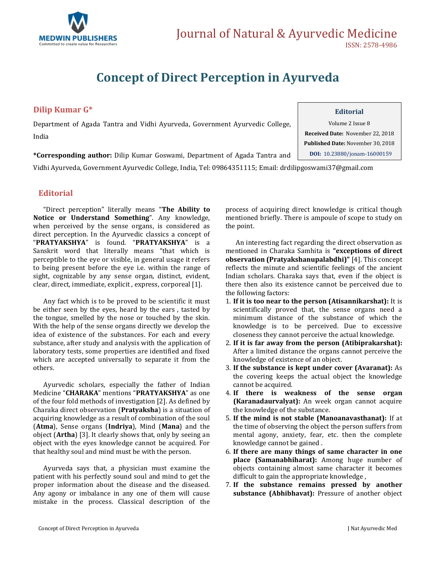

## **Concept of Direct Perception in Ayurveda**

## **Dilip Kumar G\***

Department of Agada Tantra and Vidhi Ayurveda, Government Ayurvedic College, India

Volume 2 Issue 8 **Received Date:** November 22, 2018 **Published Date:** November 30, 2018 **DOI:** [10.23880/jonam-16000159](https://doi.org/10.23880/mhrij-16000159)

**\*Corresponding author:** Dilip Kumar Goswami, Department of Agada Tantra and

Vidhi Ayurveda, Government Ayurvedic College, India, Tel: 09864351115; Email[: drdilipgoswami37@gmail.com](mailto:drdilipgoswami37@gmail.com)

### **Editorial**

"Direct perception" literally means "**The Ability to Notice or Understand Something**". Any knowledge, when perceived by the sense organs, is considered as direct perception. In the Ayurvedic classics a concept of "**PRATYAKSHYA**" is found. "**PRATYAKSHYA**" is a Sanskrit word that literally means "that which is perceptible to the eye or visible, in general usage it refers to being present before the eye i.e. within the range of sight, cognizable by any sense organ, distinct, evident, clear, direct, immediate, explicit , express, corporeal [1].

Any fact which is to be proved to be scientific it must be either seen by the eyes, heard by the ears , tasted by the tongue, smelled by the nose or touched by the skin. With the help of the sense organs directly we develop the idea of existence of the substances. For each and every substance, after study and analysis with the application of laboratory tests, some properties are identified and fixed which are accepted universally to separate it from the others.

Ayurvedic scholars, especially the father of Indian Medicine "**CHARAKA**" mentions "**PRATYAKSHYA**" as one of the four fold methods of investigation [2]. As defined by Charaka direct observation (**Pratyaksha**) is a situation of acquiring knowledge as a result of combination of the soul (**Atma**), Sense organs (**Indriya**), Mind (**Mana**) and the object (**Artha**) [3]. It clearly shows that, only by seeing an object with the eyes knowledge cannot be acquired. For that healthy soul and mind must be with the person.

Ayurveda says that, a physician must examine the patient with his perfectly sound soul and mind to get the proper information about the disease and the diseased. Any agony or imbalance in any one of them will cause mistake in the process. Classical description of the

process of acquiring direct knowledge is critical though mentioned briefly. There is ampoule of scope to study on the point.

An interesting fact regarding the direct observation as mentioned in Charaka Samhita is **"exceptions of direct observation (Pratyakshanupalabdhi)"** [4]. This concept reflects the minute and scientific feelings of the ancient Indian scholars. Charaka says that, even if the object is there then also its existence cannot be perceived due to the following factors:

- 1. **If it is too near to the person (Atisannikarshat):** It is scientifically proved that, the sense organs need a minimum distance of the substance of which the knowledge is to be perceived. Due to excessive closeness they cannot perceive the actual knowledge.
- 2. **If it is far away from the person (Atibiprakarshat):**  After a limited distance the organs cannot perceive the knowledge of existence of an object.
- 3. **If the substance is kept under cover (Avaranat):** As the covering keeps the actual object the knowledge cannot be acquired.
- 4. **If there is weakness of the sense organ (Karanadaurvalyat):** An week organ cannot acquire the knowledge of the substance.
- 5. **If the mind is not stable (Manoanavasthanat):** If at the time of observing the object the person suffers from mental agony, anxiety, fear, etc. then the complete knowledge cannot be gained .
- 6. **If there are many things of same character in one place (Samanabhiharat):** Among huge number of objects containing almost same character it becomes difficult to gain the appropriate knowledge ,
- 7. **If the substance remains pressed by another substance (Abhibhavat):** Pressure of another object

#### **Editorial**